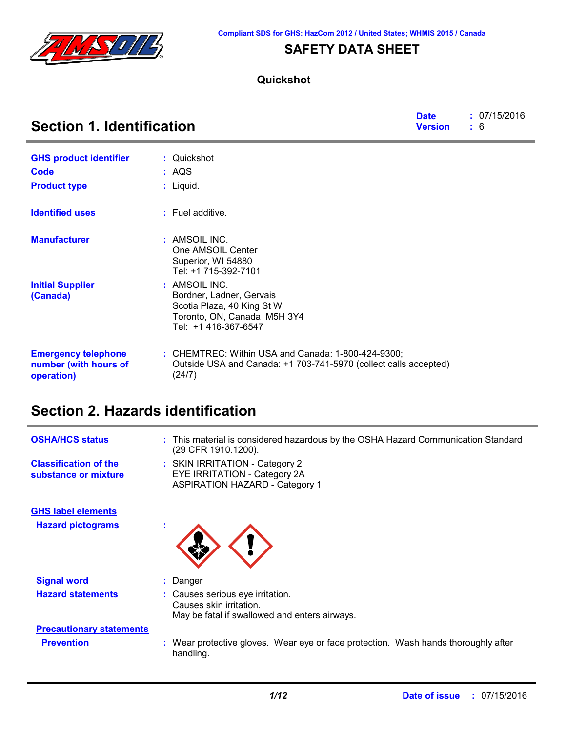

### **SAFETY DATA SHEET**

### **Quickshot**

| <b>Section 1. Identification</b>                                  |                                                                                                                                  |  | : 07/15/2016<br>: 6 |
|-------------------------------------------------------------------|----------------------------------------------------------------------------------------------------------------------------------|--|---------------------|
| <b>GHS product identifier</b>                                     | : Quickshot                                                                                                                      |  |                     |
| Code                                                              | : AQS                                                                                                                            |  |                     |
| <b>Product type</b>                                               | : Liquid.                                                                                                                        |  |                     |
| <b>Identified uses</b>                                            | $:$ Fuel additive.                                                                                                               |  |                     |
| <b>Manufacturer</b>                                               | : AMSOIL INC.<br>One AMSOIL Center<br>Superior, WI 54880<br>Tel: +1 715-392-7101                                                 |  |                     |
| <b>Initial Supplier</b><br>(Canada)                               | : AMSOIL INC.<br>Bordner, Ladner, Gervais<br>Scotia Plaza, 40 King St W<br>Toronto, ON, Canada M5H 3Y4<br>Tel: +1 416-367-6547   |  |                     |
| <b>Emergency telephone</b><br>number (with hours of<br>operation) | : CHEMTREC: Within USA and Canada: 1-800-424-9300;<br>Outside USA and Canada: +1 703-741-5970 (collect calls accepted)<br>(24/7) |  |                     |

# **Section 2. Hazards identification**

| <b>OSHA/HCS status</b>                               | : This material is considered hazardous by the OSHA Hazard Communication Standard<br>(29 CFR 1910.1200).       |
|------------------------------------------------------|----------------------------------------------------------------------------------------------------------------|
| <b>Classification of the</b><br>substance or mixture | : SKIN IRRITATION - Category 2<br><b>EYE IRRITATION - Category 2A</b><br><b>ASPIRATION HAZARD - Category 1</b> |
| <b>GHS label elements</b>                            |                                                                                                                |
| <b>Hazard pictograms</b>                             | ×                                                                                                              |
| <b>Signal word</b>                                   | : Danger                                                                                                       |
| <b>Hazard statements</b>                             | : Causes serious eye irritation.<br>Causes skin irritation.<br>May be fatal if swallowed and enters airways.   |
| <b>Precautionary statements</b>                      |                                                                                                                |
| <b>Prevention</b>                                    | : Wear protective gloves. Wear eye or face protection. Wash hands thoroughly after<br>handling.                |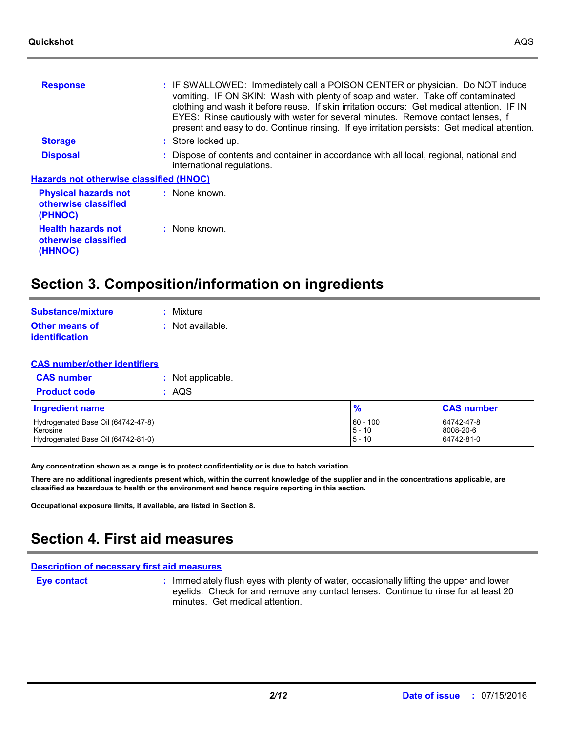| <b>Response</b>                                                | : IF SWALLOWED: Immediately call a POISON CENTER or physician. Do NOT induce<br>vomiting. IF ON SKIN: Wash with plenty of soap and water. Take off contaminated<br>clothing and wash it before reuse. If skin irritation occurs: Get medical attention. IF IN<br>EYES: Rinse cautiously with water for several minutes. Remove contact lenses, if<br>present and easy to do. Continue rinsing. If eye irritation persists: Get medical attention. |
|----------------------------------------------------------------|---------------------------------------------------------------------------------------------------------------------------------------------------------------------------------------------------------------------------------------------------------------------------------------------------------------------------------------------------------------------------------------------------------------------------------------------------|
| <b>Storage</b>                                                 | : Store locked up.                                                                                                                                                                                                                                                                                                                                                                                                                                |
| <b>Disposal</b>                                                | : Dispose of contents and container in accordance with all local, regional, national and<br>international regulations.                                                                                                                                                                                                                                                                                                                            |
| <b>Hazards not otherwise classified (HNOC)</b>                 |                                                                                                                                                                                                                                                                                                                                                                                                                                                   |
| <b>Physical hazards not</b><br>otherwise classified<br>(PHNOC) | : None known.                                                                                                                                                                                                                                                                                                                                                                                                                                     |
| <b>Health hazards not</b><br>otherwise classified<br>(HHNOC)   | $:$ None known.                                                                                                                                                                                                                                                                                                                                                                                                                                   |
|                                                                |                                                                                                                                                                                                                                                                                                                                                                                                                                                   |

### **Section 3. Composition/information on ingredients**

| Substance/mixture                       | : Mixture        |
|-----------------------------------------|------------------|
| <b>Other means of</b><br>identification | : Not available. |

| <b>CAS number/other identifiers</b>                                                  |                   |                                    |                                       |
|--------------------------------------------------------------------------------------|-------------------|------------------------------------|---------------------------------------|
| <b>CAS number</b>                                                                    | : Not applicable. |                                    |                                       |
| <b>Product code</b>                                                                  | : AQS             |                                    |                                       |
| <b>Ingredient name</b>                                                               |                   | $\frac{9}{6}$                      | <b>CAS number</b>                     |
| Hydrogenated Base Oil (64742-47-8)<br>Kerosine<br>Hydrogenated Base Oil (64742-81-0) |                   | $60 - 100$<br>$5 - 10$<br>$5 - 10$ | 64742-47-8<br>8008-20-6<br>64742-81-0 |

**Any concentration shown as a range is to protect confidentiality or is due to batch variation.**

**There are no additional ingredients present which, within the current knowledge of the supplier and in the concentrations applicable, are classified as hazardous to health or the environment and hence require reporting in this section.**

**Occupational exposure limits, if available, are listed in Section 8.**

# **Section 4. First aid measures**

### **Description of necessary first aid measures**

**Eye contact :**

: Immediately flush eyes with plenty of water, occasionally lifting the upper and lower eyelids. Check for and remove any contact lenses. Continue to rinse for at least 20 minutes. Get medical attention.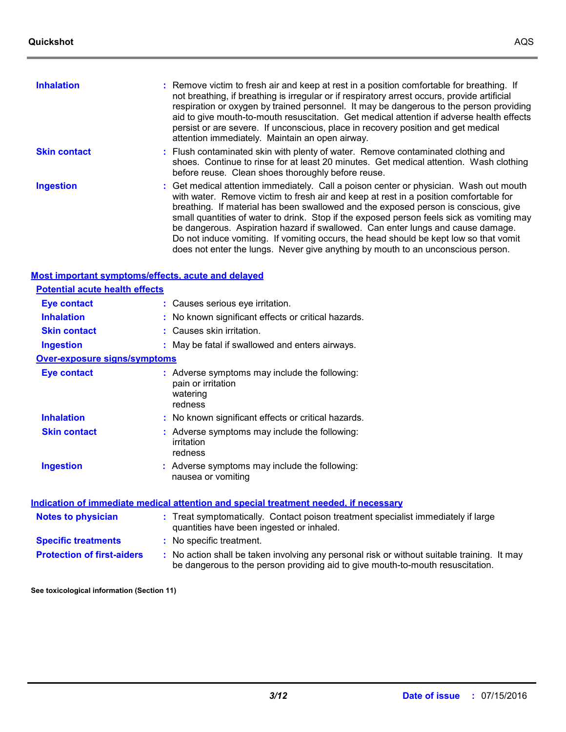**Inhalation**

| : Remove victim to fresh air and keep at rest in a position comfortable for breathing. If    |
|----------------------------------------------------------------------------------------------|
| not breathing, if breathing is irregular or if respiratory arrest occurs, provide artificial |
| respiration or oxygen by trained personnel. It may be dangerous to the person providing      |

|                     | aid to give mouth-to-mouth resuscitation. Get medical attention if adverse health effects<br>persist or are severe. If unconscious, place in recovery position and get medical<br>attention immediately. Maintain an open airway.                                                                                                                                                                                                                                                                                                               |
|---------------------|-------------------------------------------------------------------------------------------------------------------------------------------------------------------------------------------------------------------------------------------------------------------------------------------------------------------------------------------------------------------------------------------------------------------------------------------------------------------------------------------------------------------------------------------------|
| <b>Skin contact</b> | : Flush contaminated skin with plenty of water. Remove contaminated clothing and<br>shoes. Continue to rinse for at least 20 minutes. Get medical attention. Wash clothing<br>before reuse. Clean shoes thoroughly before reuse.                                                                                                                                                                                                                                                                                                                |
| <b>Ingestion</b>    | : Get medical attention immediately. Call a poison center or physician. Wash out mouth<br>with water. Remove victim to fresh air and keep at rest in a position comfortable for<br>breathing. If material has been swallowed and the exposed person is conscious, give<br>small quantities of water to drink. Stop if the exposed person feels sick as vomiting may<br>be dangerous. Aspiration hazard if swallowed. Can enter lungs and cause damage.<br>Do not induce vomiting. If vomiting occurs, the head should be kept low so that vomit |

does not enter the lungs. Never give anything by mouth to an unconscious person.

#### **Most important symptoms/effects, acute and delayed**

| <u>moot important o ginptomo/onooto, aouto una aoia jou</u> |                                                                                                                                                                               |
|-------------------------------------------------------------|-------------------------------------------------------------------------------------------------------------------------------------------------------------------------------|
| <b>Potential acute health effects</b>                       |                                                                                                                                                                               |
| <b>Eye contact</b>                                          | : Causes serious eye irritation.                                                                                                                                              |
| <b>Inhalation</b>                                           | : No known significant effects or critical hazards.                                                                                                                           |
| <b>Skin contact</b>                                         | : Causes skin irritation.                                                                                                                                                     |
| <b>Ingestion</b>                                            | : May be fatal if swallowed and enters airways.                                                                                                                               |
| <b>Over-exposure signs/symptoms</b>                         |                                                                                                                                                                               |
| <b>Eye contact</b>                                          | : Adverse symptoms may include the following:<br>pain or irritation<br>watering<br>redness                                                                                    |
| <b>Inhalation</b>                                           | : No known significant effects or critical hazards.                                                                                                                           |
| <b>Skin contact</b>                                         | : Adverse symptoms may include the following:<br>irritation<br>redness                                                                                                        |
| <b>Ingestion</b>                                            | : Adverse symptoms may include the following:<br>nausea or vomiting                                                                                                           |
|                                                             | <u>Indication of immediate medical attention and special treatment needed, if necessary</u>                                                                                   |
| <b>Notes to physician</b>                                   | : Treat symptomatically. Contact poison treatment specialist immediately if large<br>quantities have been ingested or inhaled.                                                |
| <b>Specific treatments</b>                                  | : No specific treatment.                                                                                                                                                      |
| <b>Protection of first-aiders</b>                           | : No action shall be taken involving any personal risk or without suitable training. It may<br>be dangerous to the person providing aid to give mouth-to-mouth resuscitation. |

**See toxicological information (Section 11)**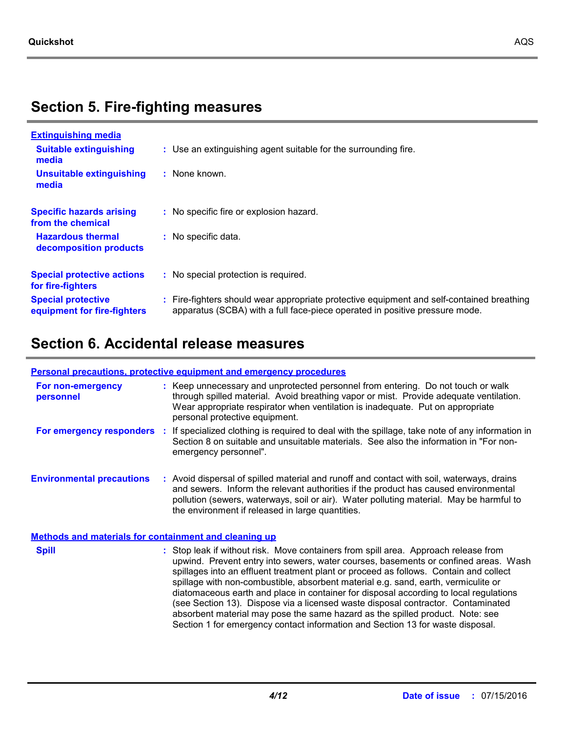# **Section 5. Fire-fighting measures**

| <b>Extinguishing media</b>                               |                                                                                                                                                                          |
|----------------------------------------------------------|--------------------------------------------------------------------------------------------------------------------------------------------------------------------------|
| <b>Suitable extinguishing</b><br>media                   | : Use an extinguishing agent suitable for the surrounding fire.                                                                                                          |
| Unsuitable extinguishing<br>media                        | $:$ None known.                                                                                                                                                          |
| <b>Specific hazards arising</b><br>from the chemical     | : No specific fire or explosion hazard.                                                                                                                                  |
| <b>Hazardous thermal</b><br>decomposition products       | : No specific data.                                                                                                                                                      |
| <b>Special protective actions</b><br>for fire-fighters   | : No special protection is required.                                                                                                                                     |
| <b>Special protective</b><br>equipment for fire-fighters | : Fire-fighters should wear appropriate protective equipment and self-contained breathing<br>apparatus (SCBA) with a full face-piece operated in positive pressure mode. |

# **Section 6. Accidental release measures**

#### **Personal precautions, protective equipment and emergency procedures**

| For non-emergency<br>personnel                               | : Keep unnecessary and unprotected personnel from entering. Do not touch or walk<br>through spilled material. Avoid breathing vapor or mist. Provide adequate ventilation.<br>Wear appropriate respirator when ventilation is inadequate. Put on appropriate<br>personal protective equipment.                                                                                                                                                                                                                                                                                                                                                                                                            |
|--------------------------------------------------------------|-----------------------------------------------------------------------------------------------------------------------------------------------------------------------------------------------------------------------------------------------------------------------------------------------------------------------------------------------------------------------------------------------------------------------------------------------------------------------------------------------------------------------------------------------------------------------------------------------------------------------------------------------------------------------------------------------------------|
| For emergency responders                                     | : If specialized clothing is required to deal with the spillage, take note of any information in<br>Section 8 on suitable and unsuitable materials. See also the information in "For non-<br>emergency personnel".                                                                                                                                                                                                                                                                                                                                                                                                                                                                                        |
| <b>Environmental precautions</b>                             | : Avoid dispersal of spilled material and runoff and contact with soil, waterways, drains<br>and sewers. Inform the relevant authorities if the product has caused environmental<br>pollution (sewers, waterways, soil or air). Water polluting material. May be harmful to<br>the environment if released in large quantities.                                                                                                                                                                                                                                                                                                                                                                           |
| <b>Methods and materials for containment and cleaning up</b> |                                                                                                                                                                                                                                                                                                                                                                                                                                                                                                                                                                                                                                                                                                           |
| <b>Spill</b>                                                 | : Stop leak if without risk. Move containers from spill area. Approach release from<br>upwind. Prevent entry into sewers, water courses, basements or confined areas. Wash<br>spillages into an effluent treatment plant or proceed as follows. Contain and collect<br>spillage with non-combustible, absorbent material e.g. sand, earth, vermiculite or<br>diatomaceous earth and place in container for disposal according to local regulations<br>(see Section 13). Dispose via a licensed waste disposal contractor. Contaminated<br>absorbent material may pose the same hazard as the spilled product. Note: see<br>Section 1 for emergency contact information and Section 13 for waste disposal. |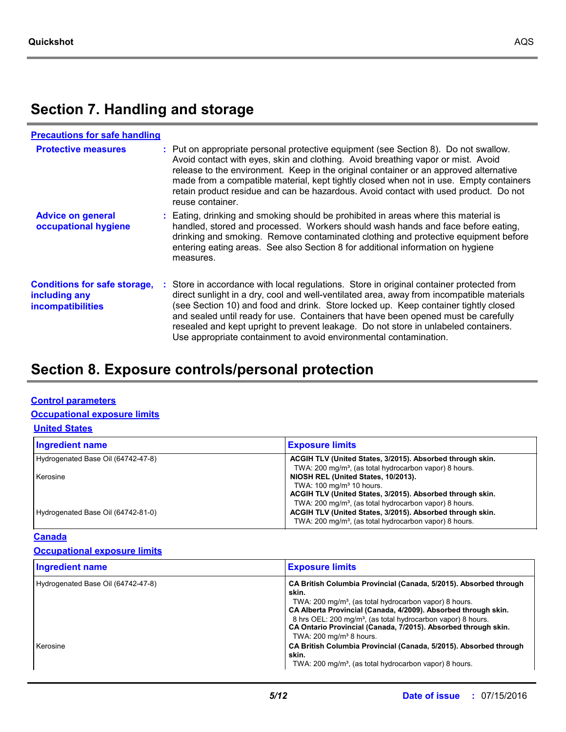# **Section 7. Handling and storage**

| <b>Precautions for safe handling</b>                                             |                                                                                                                                                                                                                                                                                                                                                                                                                                                                                                                              |
|----------------------------------------------------------------------------------|------------------------------------------------------------------------------------------------------------------------------------------------------------------------------------------------------------------------------------------------------------------------------------------------------------------------------------------------------------------------------------------------------------------------------------------------------------------------------------------------------------------------------|
| <b>Protective measures</b>                                                       | : Put on appropriate personal protective equipment (see Section 8). Do not swallow.<br>Avoid contact with eyes, skin and clothing. Avoid breathing vapor or mist. Avoid<br>release to the environment. Keep in the original container or an approved alternative<br>made from a compatible material, kept tightly closed when not in use. Empty containers<br>retain product residue and can be hazardous. Avoid contact with used product. Do not<br>reuse container.                                                       |
| <b>Advice on general</b><br>occupational hygiene                                 | : Eating, drinking and smoking should be prohibited in areas where this material is<br>handled, stored and processed. Workers should wash hands and face before eating,<br>drinking and smoking. Remove contaminated clothing and protective equipment before<br>entering eating areas. See also Section 8 for additional information on hygiene<br>measures.                                                                                                                                                                |
| <b>Conditions for safe storage,</b><br>including any<br><i>incompatibilities</i> | Store in accordance with local regulations. Store in original container protected from<br>direct sunlight in a dry, cool and well-ventilated area, away from incompatible materials<br>(see Section 10) and food and drink. Store locked up. Keep container tightly closed<br>and sealed until ready for use. Containers that have been opened must be carefully<br>resealed and kept upright to prevent leakage. Do not store in unlabeled containers.<br>Use appropriate containment to avoid environmental contamination. |

# **Section 8. Exposure controls/personal protection**

#### **Control parameters**

### **Occupational exposure limits**

#### **United States**

| <b>Ingredient name</b>             | <b>Exposure limits</b>                                                                                                                                                                                |
|------------------------------------|-------------------------------------------------------------------------------------------------------------------------------------------------------------------------------------------------------|
| Hydrogenated Base Oil (64742-47-8) | ACGIH TLV (United States, 3/2015). Absorbed through skin.<br>TWA: 200 mg/m <sup>3</sup> , (as total hydrocarbon vapor) 8 hours.                                                                       |
| Kerosine                           | NIOSH REL (United States, 10/2013).<br>TWA: 100 mg/m <sup>3</sup> 10 hours.<br>ACGIH TLV (United States, 3/2015). Absorbed through skin.                                                              |
| Hydrogenated Base Oil (64742-81-0) | TWA: 200 mg/m <sup>3</sup> , (as total hydrocarbon vapor) 8 hours.<br>ACGIH TLV (United States, 3/2015). Absorbed through skin.<br>TWA: 200 mg/m <sup>3</sup> , (as total hydrocarbon vapor) 8 hours. |

### **Canada**

### **Occupational exposure limits**

| <b>Ingredient name</b>                         | <b>Exposure limits</b>                                                                                                                                                                                                                                                                                                                                                                                                                                                               |
|------------------------------------------------|--------------------------------------------------------------------------------------------------------------------------------------------------------------------------------------------------------------------------------------------------------------------------------------------------------------------------------------------------------------------------------------------------------------------------------------------------------------------------------------|
| Hydrogenated Base Oil (64742-47-8)<br>Kerosine | CA British Columbia Provincial (Canada, 5/2015). Absorbed through<br>skin.<br>TWA: 200 mg/m <sup>3</sup> , (as total hydrocarbon vapor) 8 hours.<br>CA Alberta Provincial (Canada, 4/2009). Absorbed through skin.<br>8 hrs OEL: 200 mg/m <sup>3</sup> , (as total hydrocarbon vapor) 8 hours.<br>CA Ontario Provincial (Canada, 7/2015). Absorbed through skin.<br>TWA: $200 \text{ mg/m}^3$ 8 hours.<br>CA British Columbia Provincial (Canada, 5/2015). Absorbed through<br>skin. |
|                                                | TWA: 200 mg/m <sup>3</sup> , (as total hydrocarbon vapor) 8 hours.                                                                                                                                                                                                                                                                                                                                                                                                                   |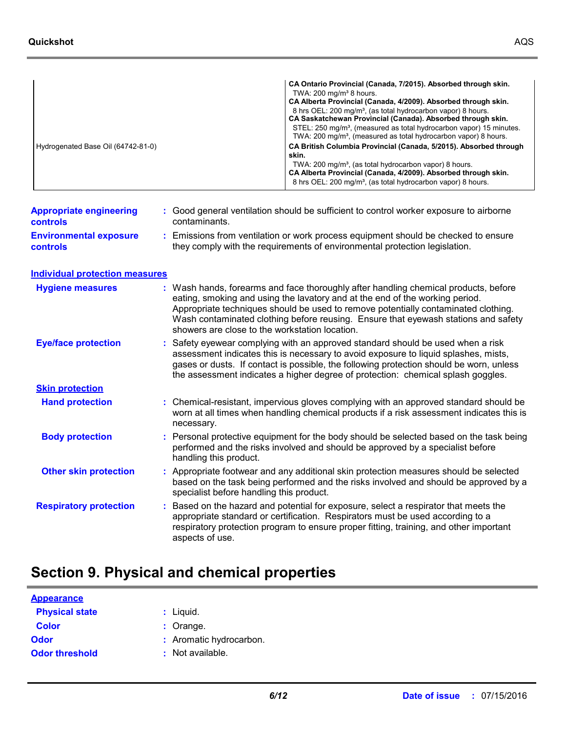|                                    | CA Ontario Provincial (Canada, 7/2015). Absorbed through skin.                                                                                                 |
|------------------------------------|----------------------------------------------------------------------------------------------------------------------------------------------------------------|
|                                    | TWA: $200 \text{ mg/m}^3$ 8 hours.                                                                                                                             |
|                                    | CA Alberta Provincial (Canada, 4/2009). Absorbed through skin.                                                                                                 |
|                                    | 8 hrs OEL: 200 mg/m <sup>3</sup> , (as total hydrocarbon vapor) 8 hours.                                                                                       |
|                                    | CA Saskatchewan Provincial (Canada). Absorbed through skin.                                                                                                    |
|                                    | STEL: 250 mg/m <sup>3</sup> , (measured as total hydrocarbon vapor) 15 minutes.<br>TWA: 200 mg/m <sup>3</sup> , (measured as total hydrocarbon vapor) 8 hours. |
| Hydrogenated Base Oil (64742-81-0) | CA British Columbia Provincial (Canada, 5/2015). Absorbed through<br>skin.                                                                                     |

|                                                   |               | 8 hrs OEL: 200 mg/m <sup>3</sup> , (as total hydrocarbon vapor) 8 hours.               |
|---------------------------------------------------|---------------|----------------------------------------------------------------------------------------|
| <b>Appropriate engineering</b><br><b>controls</b> | contaminants. | : Good general ventilation should be sufficient to control worker exposure to airborne |

**Environmental exposure controls**

**:** Emissions from ventilation or work process equipment should be checked to ensure they comply with the requirements of environmental protection legislation.

TWA: 200 mg/m<sup>3</sup>, (as total hydrocarbon vapor) 8 hours.

**CA Alberta Provincial (Canada, 4/2009). Absorbed through skin.** 

#### **Individual protection measures**

| <b>Hygiene measures</b>       | : Wash hands, forearms and face thoroughly after handling chemical products, before<br>eating, smoking and using the lavatory and at the end of the working period.<br>Appropriate techniques should be used to remove potentially contaminated clothing.<br>Wash contaminated clothing before reusing. Ensure that eyewash stations and safety<br>showers are close to the workstation location. |
|-------------------------------|---------------------------------------------------------------------------------------------------------------------------------------------------------------------------------------------------------------------------------------------------------------------------------------------------------------------------------------------------------------------------------------------------|
| <b>Eye/face protection</b>    | : Safety eyewear complying with an approved standard should be used when a risk<br>assessment indicates this is necessary to avoid exposure to liquid splashes, mists,<br>gases or dusts. If contact is possible, the following protection should be worn, unless<br>the assessment indicates a higher degree of protection: chemical splash goggles.                                             |
| <b>Skin protection</b>        |                                                                                                                                                                                                                                                                                                                                                                                                   |
| <b>Hand protection</b>        | : Chemical-resistant, impervious gloves complying with an approved standard should be<br>worn at all times when handling chemical products if a risk assessment indicates this is<br>necessary.                                                                                                                                                                                                   |
| <b>Body protection</b>        | : Personal protective equipment for the body should be selected based on the task being<br>performed and the risks involved and should be approved by a specialist before<br>handling this product.                                                                                                                                                                                               |
| <b>Other skin protection</b>  | : Appropriate footwear and any additional skin protection measures should be selected<br>based on the task being performed and the risks involved and should be approved by a<br>specialist before handling this product.                                                                                                                                                                         |
| <b>Respiratory protection</b> | : Based on the hazard and potential for exposure, select a respirator that meets the<br>appropriate standard or certification. Respirators must be used according to a<br>respiratory protection program to ensure proper fitting, training, and other important<br>aspects of use.                                                                                                               |

## **Section 9. Physical and chemical properties**

| <b>Appearance</b>     |                         |
|-----------------------|-------------------------|
| <b>Physical state</b> | : Liguid.               |
| <b>Color</b>          | $:$ Orange.             |
| <b>Odor</b>           | : Aromatic hydrocarbon. |
| <b>Odor threshold</b> | : Not available.        |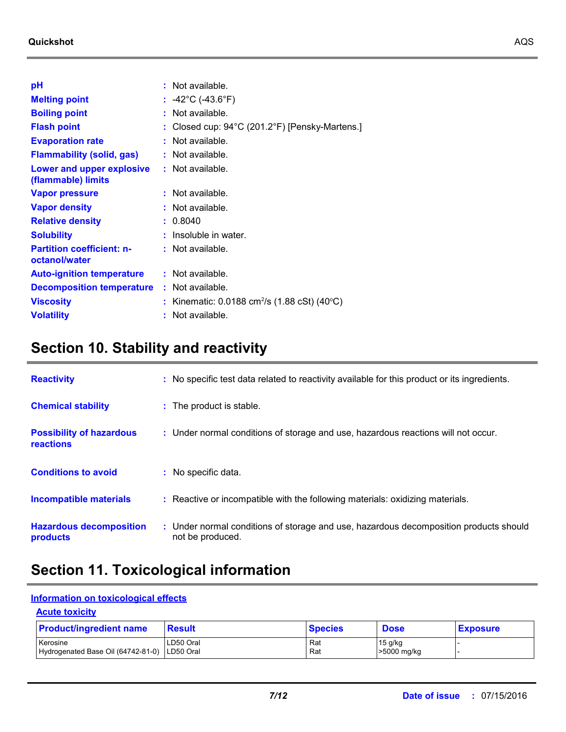| рH                                                     |    | $:$ Not available.                                                      |
|--------------------------------------------------------|----|-------------------------------------------------------------------------|
| <b>Melting point</b>                                   |    | : $-42^{\circ}$ C ( $-43.6^{\circ}$ F)                                  |
| <b>Boiling point</b>                                   | t. | Not available.                                                          |
| <b>Flash point</b>                                     |    | Closed cup: 94°C (201.2°F) [Pensky-Martens.]                            |
| <b>Evaporation rate</b>                                |    | $:$ Not available.                                                      |
| <b>Flammability (solid, gas)</b>                       |    | $:$ Not available.                                                      |
| <b>Lower and upper explosive</b><br>(flammable) limits |    | $:$ Not available.                                                      |
| Vapor pressure                                         |    | $:$ Not available.                                                      |
| <b>Vapor density</b>                                   |    | : Not available.                                                        |
| <b>Relative density</b>                                |    | : 0.8040                                                                |
| <b>Solubility</b>                                      |    | $:$ Insoluble in water.                                                 |
| <b>Partition coefficient: n-</b><br>octanol/water      |    | $:$ Not available.                                                      |
| <b>Auto-ignition temperature</b>                       |    | : Not available.                                                        |
| <b>Decomposition temperature</b>                       |    | $:$ Not available.                                                      |
| <b>Viscosity</b>                                       |    | : Kinematic: $0.0188$ cm <sup>2</sup> /s (1.88 cSt) (40 <sup>o</sup> C) |
| <b>Volatility</b>                                      |    | Not available.                                                          |

## **Section 10. Stability and reactivity**

| <b>Reactivity</b>                            | : No specific test data related to reactivity available for this product or its ingredients. |
|----------------------------------------------|----------------------------------------------------------------------------------------------|
| <b>Chemical stability</b>                    | : The product is stable.                                                                     |
| <b>Possibility of hazardous</b><br>reactions | : Under normal conditions of storage and use, hazardous reactions will not occur.            |
| <b>Conditions to avoid</b>                   | : No specific data.                                                                          |
| <b>Incompatible materials</b>                | : Reactive or incompatible with the following materials: oxidizing materials.                |
|                                              |                                                                                              |

# **Section 11. Toxicological information**

### **Information on toxicological effects**

### **Acute toxicity**

| <b>Product/ingredient name</b>                           | <b>Result</b> | <b>Species</b> | <b>Dose</b>              | <b>Exposure</b> |
|----------------------------------------------------------|---------------|----------------|--------------------------|-----------------|
| Kerosine<br>Hydrogenated Base Oil (64742-81-0) LD50 Oral | ∟D50 Oral     | Rat<br>Rat     | $15$ g/kg<br>>5000 mg/kg |                 |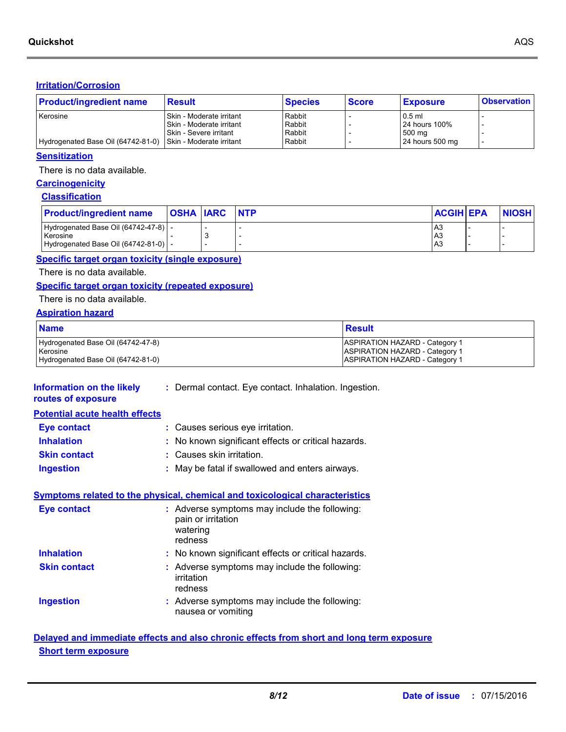#### **Irritation/Corrosion**

| <b>Product/ingredient name</b>                              | <b>Result</b>                 | <b>Species</b> | <b>Score</b> | <b>Exposure</b> | <b>Observation</b> |
|-------------------------------------------------------------|-------------------------------|----------------|--------------|-----------------|--------------------|
| Kerosine                                                    | I Skin - Moderate irritant    | Rabbit         |              | $0.5$ ml        |                    |
|                                                             | I Skin - Moderate irritant    | Rabbit         |              | 24 hours 100%   |                    |
|                                                             | <b>Skin - Severe irritant</b> | Rabbit         |              | 500 mg          |                    |
| Hydrogenated Base Oil (64742-81-0) Skin - Moderate irritant |                               | Rabbit         |              | 24 hours 500 mg |                    |

#### **Sensitization**

There is no data available.

### **Carcinogenicity**

### **Classification**

| <b>Product/ingredient name</b>         | <b>OSHA IARC</b> | <b>NTP</b> | <b>ACGIH EPA</b> | <b>NIOSH</b> |
|----------------------------------------|------------------|------------|------------------|--------------|
| Hydrogenated Base Oil (64742-47-8)   - |                  |            | A3               |              |
| Kerosine                               |                  |            | A3               |              |
| Hydrogenated Base Oil (64742-81-0)   - |                  |            | A3               |              |

#### **Specific target organ toxicity (single exposure)**

There is no data available.

### **Specific target organ toxicity (repeated exposure)**

#### There is no data available.

#### **Aspiration hazard**

| <b>Name</b>                                    | <u>l Result</u>                                                         |
|------------------------------------------------|-------------------------------------------------------------------------|
| Hydrogenated Base Oil (64742-47-8)<br>Kerosine | ASPIRATION HAZARD - Category 1<br><b>ASPIRATION HAZARD - Category 1</b> |
| Hydrogenated Base Oil (64742-81-0)             | <b>ASPIRATION HAZARD - Category 1</b>                                   |

| Information on the likely<br>routes of exposure                                     |  | : Dermal contact. Eye contact. Inhalation. Ingestion.                                      |  |  |  |
|-------------------------------------------------------------------------------------|--|--------------------------------------------------------------------------------------------|--|--|--|
| <b>Potential acute health effects</b>                                               |  |                                                                                            |  |  |  |
| <b>Eye contact</b>                                                                  |  | : Causes serious eye irritation.                                                           |  |  |  |
| <b>Inhalation</b>                                                                   |  | : No known significant effects or critical hazards.                                        |  |  |  |
| <b>Skin contact</b>                                                                 |  | : Causes skin irritation.                                                                  |  |  |  |
| <b>Ingestion</b>                                                                    |  | : May be fatal if swallowed and enters airways.                                            |  |  |  |
| <b>Symptoms related to the physical, chemical and toxicological characteristics</b> |  |                                                                                            |  |  |  |
| <b>Eye contact</b>                                                                  |  | : Adverse symptoms may include the following:<br>pain or irritation<br>watering<br>redness |  |  |  |
| <b>Inhalation</b>                                                                   |  | : No known significant effects or critical hazards.                                        |  |  |  |
| <b>Skin contact</b>                                                                 |  | : Adverse symptoms may include the following:<br>irritation<br>redness                     |  |  |  |
| <b>Ingestion</b>                                                                    |  | : Adverse symptoms may include the following:<br>nausea or vomiting                        |  |  |  |

### **Delayed and immediate effects and also chronic effects from short and long term exposure Short term exposure**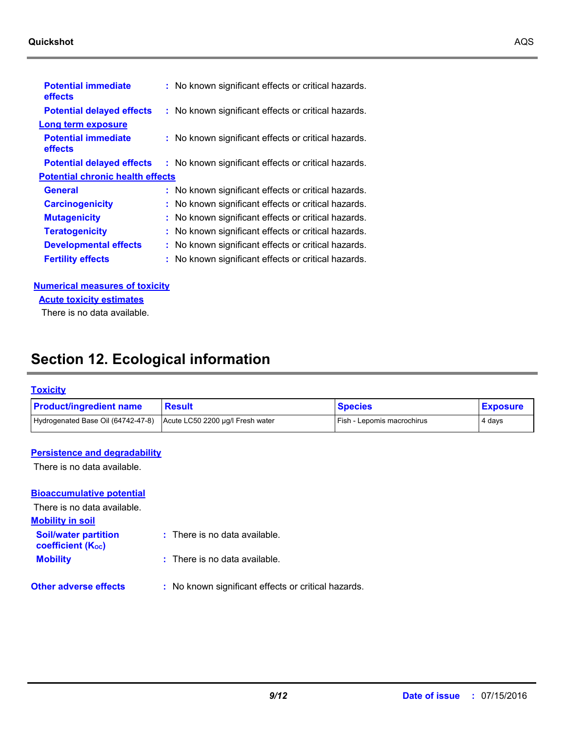#### **Quickshot** AQS

| <b>Potential immediate</b><br>effects   | : No known significant effects or critical hazards. |
|-----------------------------------------|-----------------------------------------------------|
| <b>Potential delayed effects</b>        | : No known significant effects or critical hazards. |
| Long term exposure                      |                                                     |
| <b>Potential immediate</b><br>effects   | : No known significant effects or critical hazards. |
| <b>Potential delayed effects</b>        | : No known significant effects or critical hazards. |
| <b>Potential chronic health effects</b> |                                                     |
| General                                 | : No known significant effects or critical hazards. |
| <b>Carcinogenicity</b>                  | : No known significant effects or critical hazards. |
| <b>Mutagenicity</b>                     | : No known significant effects or critical hazards. |
| <b>Teratogenicity</b>                   | : No known significant effects or critical hazards. |
| <b>Developmental effects</b>            | : No known significant effects or critical hazards. |
| <b>Fertility effects</b>                | : No known significant effects or critical hazards. |

**Numerical measures of toxicity**

**Acute toxicity estimates**

There is no data available.

## **Section 12. Ecological information**

#### **Toxicity**

| <b>Product/ingredient name</b>                                      | ∣ Result | <b>Species</b>                    | <b>Exposure</b> |
|---------------------------------------------------------------------|----------|-----------------------------------|-----------------|
| Hydrogenated Base Oil (64742-47-8) Acute LC50 2200 µg/l Fresh water |          | <b>Fish - Lepomis macrochirus</b> | 4 days          |

#### **Persistence and degradability**

There is no data available.

### **Bioaccumulative potential**

There is no data available.

**Mobility in soil**

- **Soil/water partition :** There is no data available.
- **Mobility :** There is no data available. **coefficient (KOC)**
	-
- **Other adverse effects** : No known significant effects or critical hazards.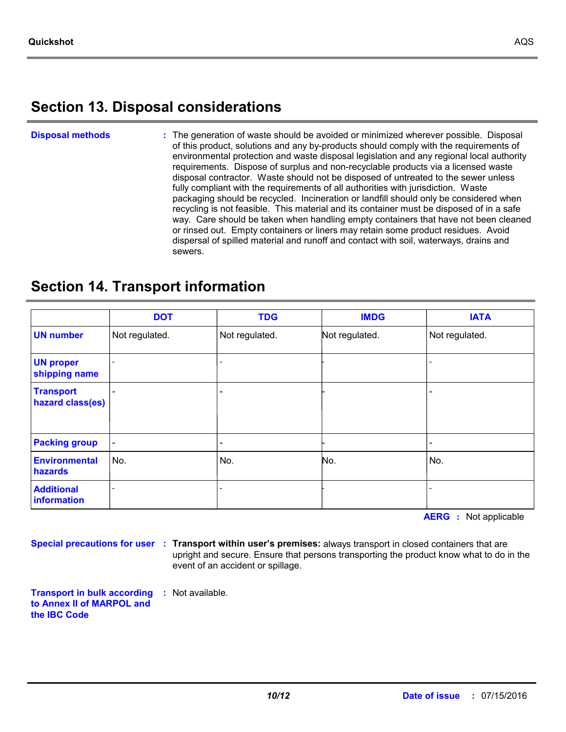## **Section 13. Disposal considerations**

#### The generation of waste should be avoided or minimized wherever possible. Disposal of this product, solutions and any by-products should comply with the requirements of environmental protection and waste disposal legislation and any regional local authority requirements. Dispose of surplus and non-recyclable products via a licensed waste disposal contractor. Waste should not be disposed of untreated to the sewer unless fully compliant with the requirements of all authorities with jurisdiction. Waste packaging should be recycled. Incineration or landfill should only be considered when recycling is not feasible. This material and its container must be disposed of in a safe way. Care should be taken when handling empty containers that have not been cleaned or rinsed out. Empty containers or liners may retain some product residues. Avoid dispersal of spilled material and runoff and contact with soil, waterways, drains and sewers. **Disposal methods :**

## **Section 14. Transport information**

|                                      | <b>DOT</b>               | <b>TDG</b>               | <b>IMDG</b>    | <b>IATA</b>    |
|--------------------------------------|--------------------------|--------------------------|----------------|----------------|
| <b>UN number</b>                     | Not regulated.           | Not regulated.           | Not regulated. | Not regulated. |
| <b>UN proper</b><br>shipping name    |                          |                          |                |                |
| <b>Transport</b><br>hazard class(es) |                          | $\overline{\phantom{0}}$ |                |                |
| <b>Packing group</b>                 | $\overline{\phantom{a}}$ | -                        |                |                |
| <b>Environmental</b><br>hazards      | No.                      | No.                      | No.            | No.            |
| <b>Additional</b><br>information     |                          |                          |                |                |

**AERG :** Not applicable

**Special precautions for user Transport within user's premises:** always transport in closed containers that are **:** upright and secure. Ensure that persons transporting the product know what to do in the event of an accident or spillage.

**Transport in bulk according :** Not available. **to Annex II of MARPOL and the IBC Code**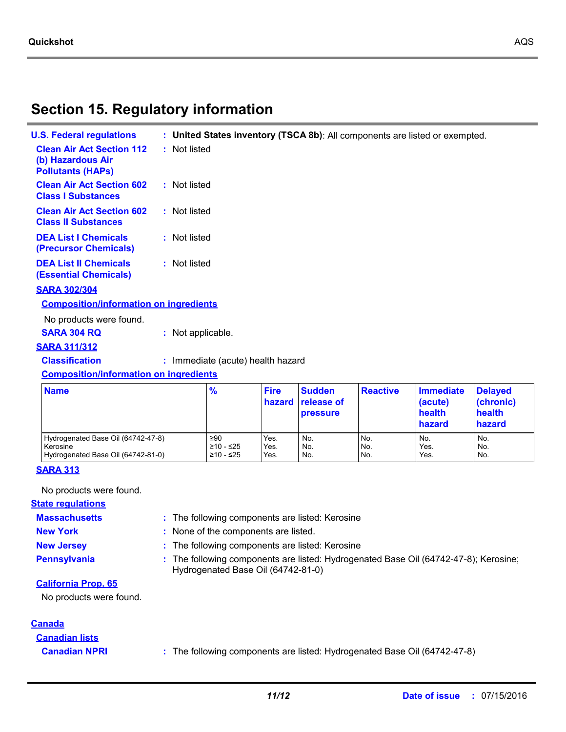## **Section 15. Regulatory information**

| <b>U.S. Federal regulations</b>                                                   |                   |                                   |                       | : United States inventory (TSCA 8b): All components are listed or exempted. |                 |                             |           |
|-----------------------------------------------------------------------------------|-------------------|-----------------------------------|-----------------------|-----------------------------------------------------------------------------|-----------------|-----------------------------|-----------|
| <b>Clean Air Act Section 112</b><br>(b) Hazardous Air<br><b>Pollutants (HAPS)</b> | : Not listed      |                                   |                       |                                                                             |                 |                             |           |
| <b>Clean Air Act Section 602</b><br><b>Class I Substances</b>                     | : Not listed      |                                   |                       |                                                                             |                 |                             |           |
| <b>Clean Air Act Section 602</b><br><b>Class II Substances</b>                    | : Not listed      |                                   |                       |                                                                             |                 |                             |           |
| <b>DEA List I Chemicals</b><br>(Precursor Chemicals)                              | : Not listed      |                                   |                       |                                                                             |                 |                             |           |
| <b>DEA List II Chemicals</b><br><b>(Essential Chemicals)</b>                      | : Not listed      |                                   |                       |                                                                             |                 |                             |           |
| <b>SARA 302/304</b>                                                               |                   |                                   |                       |                                                                             |                 |                             |           |
| <b>Composition/information on ingredients</b>                                     |                   |                                   |                       |                                                                             |                 |                             |           |
| No products were found.                                                           |                   |                                   |                       |                                                                             |                 |                             |           |
| <b>SARA 304 RQ</b>                                                                | : Not applicable. |                                   |                       |                                                                             |                 |                             |           |
| <b>SARA 311/312</b>                                                               |                   |                                   |                       |                                                                             |                 |                             |           |
| <b>Classification</b>                                                             |                   | : Immediate (acute) health hazard |                       |                                                                             |                 |                             |           |
| <b>Composition/information on ingredients</b>                                     |                   |                                   |                       |                                                                             |                 |                             |           |
| <b>Name</b>                                                                       |                   | %                                 | <b>Fire</b><br>hazard | <b>Sudden</b><br><b>release of</b>                                          | <b>Reactive</b> | <b>Immediate</b><br>(acute) | De<br>(cl |

| <b>Name</b>                        | $\frac{9}{6}$ | <b>Fire</b> | <b>Sudden</b><br>hazard release of<br><b>pressure</b> | <b>Reactive</b> | <b>Immediate</b><br>(acute)<br>health<br>hazard | <b>Delayed</b><br>(chronic)<br>health<br>hazard |
|------------------------------------|---------------|-------------|-------------------------------------------------------|-----------------|-------------------------------------------------|-------------------------------------------------|
| Hydrogenated Base Oil (64742-47-8) | ≥90           | Yes.        | No.                                                   | No.             | No.                                             | No.                                             |
| Kerosine                           | ≥10 - ≤25     | Yes.        | No.                                                   | I No.           | Yes.                                            | No.                                             |
| Hydrogenated Base Oil (64742-81-0) | ≥10 - ≤25     | Yes.        | No.                                                   | No.             | Yes.                                            | No.                                             |

The following components are listed: Kerosine **:**

### **SARA 313**

No products were found.

### **State regulations**

**Massachusetts**

- **New York :** None of the components are listed.
	-
- **New Jersey :** The following components are listed: Kerosine
- 
- **Pennsylvania :** The following components are listed: Hydrogenated Base Oil (64742-47-8); Kerosine; Hydrogenated Base Oil (64742-81-0)

#### **California Prop. 65**

No products were found.

#### **Canada**

**Canadian lists**

**Canadian NPRI :** The following components are listed: Hydrogenated Base Oil (64742-47-8)